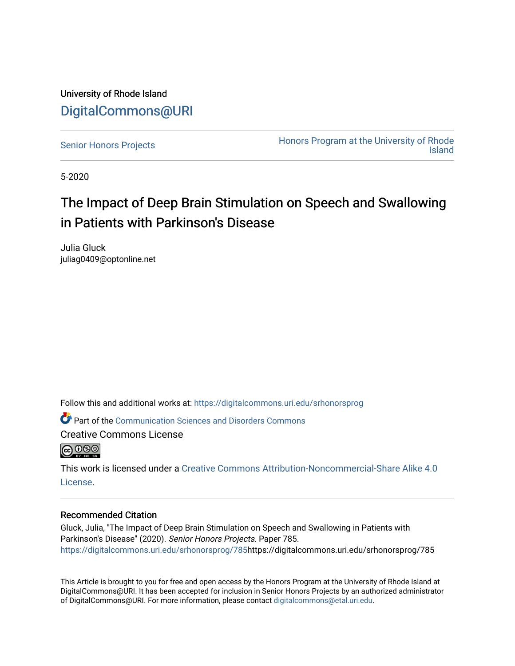University of Rhode Island [DigitalCommons@URI](https://digitalcommons.uri.edu/) 

[Senior Honors Projects](https://digitalcommons.uri.edu/srhonorsprog) **Honors Program at the University of Rhode** [Island](https://digitalcommons.uri.edu/honors_prog) 

5-2020

# The Impact of Deep Brain Stimulation on Speech and Swallowing in Patients with Parkinson's Disease

Julia Gluck juliag0409@optonline.net

Follow this and additional works at: [https://digitalcommons.uri.edu/srhonorsprog](https://digitalcommons.uri.edu/srhonorsprog?utm_source=digitalcommons.uri.edu%2Fsrhonorsprog%2F785&utm_medium=PDF&utm_campaign=PDFCoverPages)

**P** Part of the [Communication Sciences and Disorders Commons](http://network.bepress.com/hgg/discipline/1019?utm_source=digitalcommons.uri.edu%2Fsrhonorsprog%2F785&utm_medium=PDF&utm_campaign=PDFCoverPages)

Creative Commons License



This work is licensed under a [Creative Commons Attribution-Noncommercial-Share Alike 4.0](https://creativecommons.org/licenses/by-nc-sa/4.0/) [License.](https://creativecommons.org/licenses/by-nc-sa/4.0/)

#### Recommended Citation

Gluck, Julia, "The Impact of Deep Brain Stimulation on Speech and Swallowing in Patients with Parkinson's Disease" (2020). Senior Honors Projects. Paper 785. [https://digitalcommons.uri.edu/srhonorsprog/785](https://digitalcommons.uri.edu/srhonorsprog/785?utm_source=digitalcommons.uri.edu%2Fsrhonorsprog%2F785&utm_medium=PDF&utm_campaign=PDFCoverPages)https://digitalcommons.uri.edu/srhonorsprog/785

This Article is brought to you for free and open access by the Honors Program at the University of Rhode Island at DigitalCommons@URI. It has been accepted for inclusion in Senior Honors Projects by an authorized administrator of DigitalCommons@URI. For more information, please contact [digitalcommons@etal.uri.edu](mailto:digitalcommons@etal.uri.edu).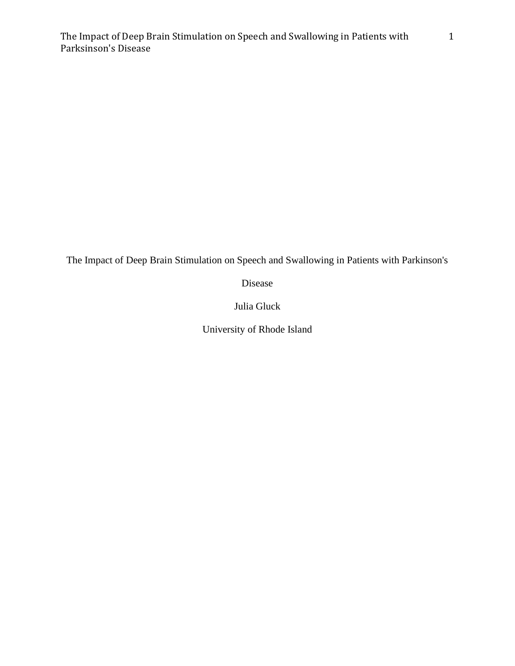Disease

Julia Gluck

University of Rhode Island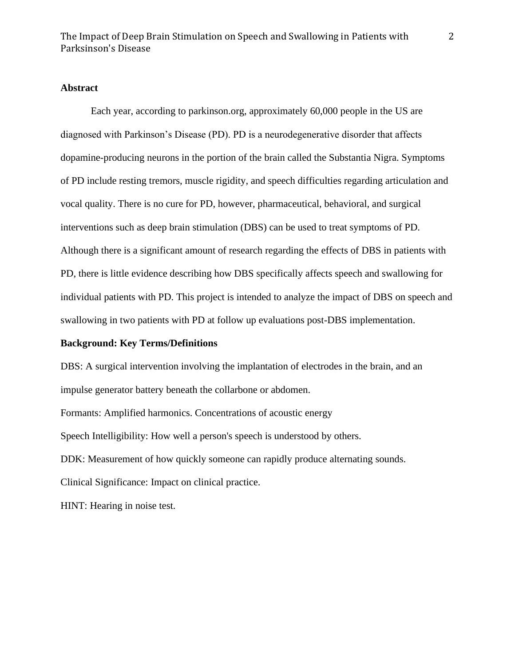## **Abstract**

Each year, according to parkinson.org, approximately 60,000 people in the US are diagnosed with Parkinson's Disease (PD). PD is a neurodegenerative disorder that affects dopamine-producing neurons in the portion of the brain called the Substantia Nigra. Symptoms of PD include resting tremors, muscle rigidity, and speech difficulties regarding articulation and vocal quality. There is no cure for PD, however, pharmaceutical, behavioral, and surgical interventions such as deep brain stimulation (DBS) can be used to treat symptoms of PD. Although there is a significant amount of research regarding the effects of DBS in patients with PD, there is little evidence describing how DBS specifically affects speech and swallowing for individual patients with PD. This project is intended to analyze the impact of DBS on speech and swallowing in two patients with PD at follow up evaluations post-DBS implementation.

## **Background: Key Terms/Definitions**

DBS: A surgical intervention involving the implantation of electrodes in the brain, and an impulse generator battery beneath the collarbone or abdomen.

Formants: Amplified harmonics. Concentrations of acoustic energy

Speech Intelligibility: How well a person's speech is understood by others.

DDK: Measurement of how quickly someone can rapidly produce alternating sounds.

Clinical Significance: Impact on clinical practice.

HINT: Hearing in noise test.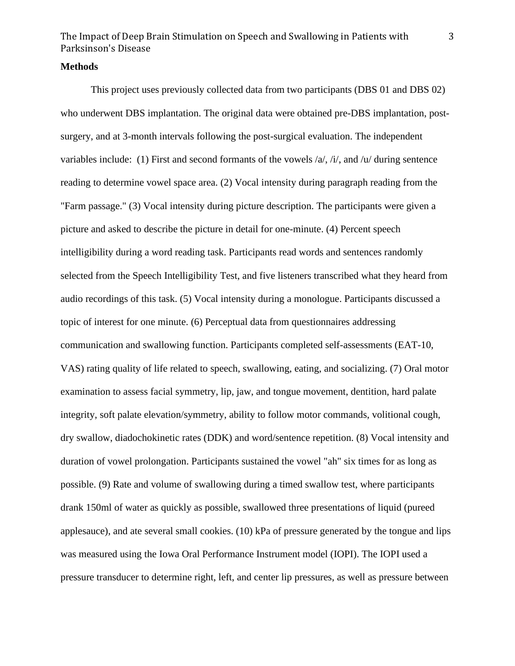#### **Methods**

This project uses previously collected data from two participants (DBS 01 and DBS 02) who underwent DBS implantation. The original data were obtained pre-DBS implantation, postsurgery, and at 3-month intervals following the post-surgical evaluation. The independent variables include: (1) First and second formants of the vowels  $\alpha$ ,  $\dot{\alpha}$ ,  $\dot{\alpha}$ , and  $\alpha$  during sentence reading to determine vowel space area. (2) Vocal intensity during paragraph reading from the "Farm passage." (3) Vocal intensity during picture description. The participants were given a picture and asked to describe the picture in detail for one-minute. (4) Percent speech intelligibility during a word reading task. Participants read words and sentences randomly selected from the Speech Intelligibility Test, and five listeners transcribed what they heard from audio recordings of this task. (5) Vocal intensity during a monologue. Participants discussed a topic of interest for one minute. (6) Perceptual data from questionnaires addressing communication and swallowing function. Participants completed self-assessments (EAT-10, VAS) rating quality of life related to speech, swallowing, eating, and socializing. (7) Oral motor examination to assess facial symmetry, lip, jaw, and tongue movement, dentition, hard palate integrity, soft palate elevation/symmetry, ability to follow motor commands, volitional cough, dry swallow, diadochokinetic rates (DDK) and word/sentence repetition. (8) Vocal intensity and duration of vowel prolongation. Participants sustained the vowel "ah" six times for as long as possible. (9) Rate and volume of swallowing during a timed swallow test, where participants drank 150ml of water as quickly as possible, swallowed three presentations of liquid (pureed applesauce), and ate several small cookies. (10) kPa of pressure generated by the tongue and lips was measured using the Iowa Oral Performance Instrument model (IOPI). The IOPI used a pressure transducer to determine right, left, and center lip pressures, as well as pressure between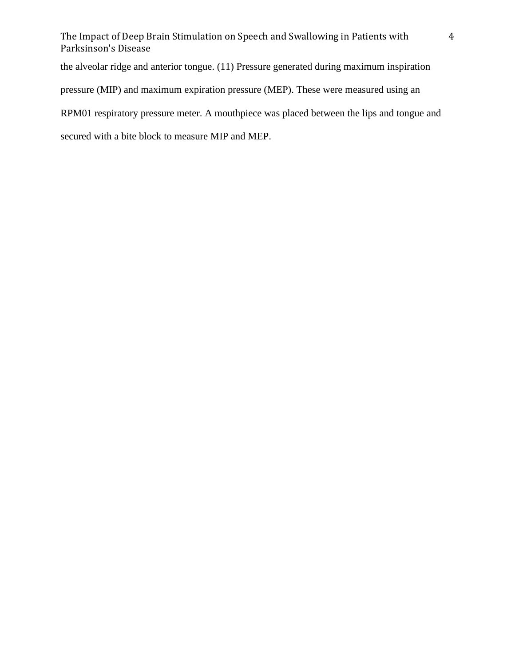the alveolar ridge and anterior tongue. (11) Pressure generated during maximum inspiration pressure (MIP) and maximum expiration pressure (MEP). These were measured using an RPM01 respiratory pressure meter. A mouthpiece was placed between the lips and tongue and secured with a bite block to measure MIP and MEP.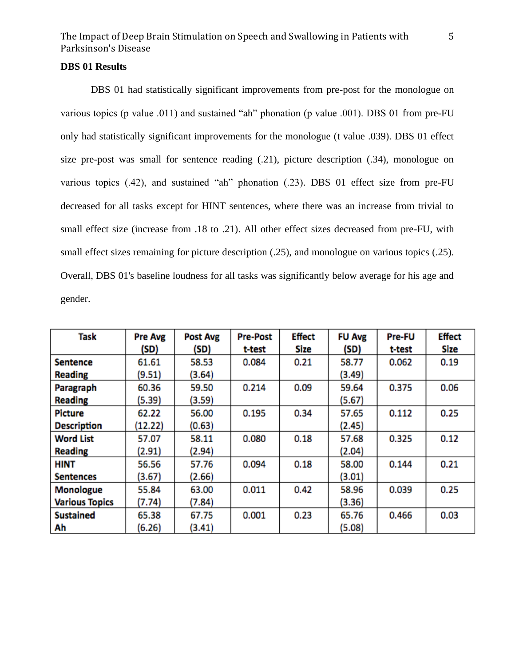## **DBS 01 Results**

DBS 01 had statistically significant improvements from pre-post for the monologue on various topics (p value .011) and sustained "ah" phonation (p value .001). DBS 01 from pre-FU only had statistically significant improvements for the monologue (t value .039). DBS 01 effect size pre-post was small for sentence reading (.21), picture description (.34), monologue on various topics (.42), and sustained "ah" phonation (.23). DBS 01 effect size from pre-FU decreased for all tasks except for HINT sentences, where there was an increase from trivial to small effect size (increase from .18 to .21). All other effect sizes decreased from pre-FU, with small effect sizes remaining for picture description (.25), and monologue on various topics (.25). Overall, DBS 01's baseline loudness for all tasks was significantly below average for his age and gender.

| <b>Task</b>           | Pre Avg | <b>Post Avg</b> | <b>Pre-Post</b> | Effect | <b>FU Avg</b> | Pre-FU | <b>Effect</b> |
|-----------------------|---------|-----------------|-----------------|--------|---------------|--------|---------------|
|                       | (SD)    | (SD)            | t-test          | Size   | (SD)          | t-test | Size          |
| <b>Sentence</b>       | 61.61   | 58.53           | 0.084           | 0.21   | 58.77         | 0.062  | 0.19          |
| <b>Reading</b>        | (9.51)  | (3.64)          |                 |        | (3.49)        |        |               |
| Paragraph             | 60.36   | 59.50           | 0.214           | 0.09   | 59.64         | 0.375  | 0.06          |
| <b>Reading</b>        | (5.39)  | (3.59)          |                 |        | (5.67)        |        |               |
| <b>Picture</b>        | 62.22   | 56.00           | 0.195           | 0.34   | 57.65         | 0.112  | 0.25          |
| <b>Description</b>    | (12.22) | (0.63)          |                 |        | (2.45)        |        |               |
| <b>Word List</b>      | 57.07   | 58.11           | 0.080           | 0.18   | 57.68         | 0.325  | 0.12          |
| <b>Reading</b>        | (2.91)  | (2.94)          |                 |        | (2.04)        |        |               |
| <b>HINT</b>           | 56.56   | 57.76           | 0.094           | 0.18   | 58.00         | 0.144  | 0.21          |
| <b>Sentences</b>      | (3.67)  | (2.66)          |                 |        | (3.01)        |        |               |
| <b>Monologue</b>      | 55.84   | 63.00           | 0.011           | 0.42   | 58.96         | 0.039  | 0.25          |
| <b>Various Topics</b> | (7.74)  | (7.84)          |                 |        | (3.36)        |        |               |
| <b>Sustained</b>      | 65.38   | 67.75           | 0.001           | 0.23   | 65.76         | 0.466  | 0.03          |
| Ah                    | (6.26)  | (3.41)          |                 |        | (5.08)        |        |               |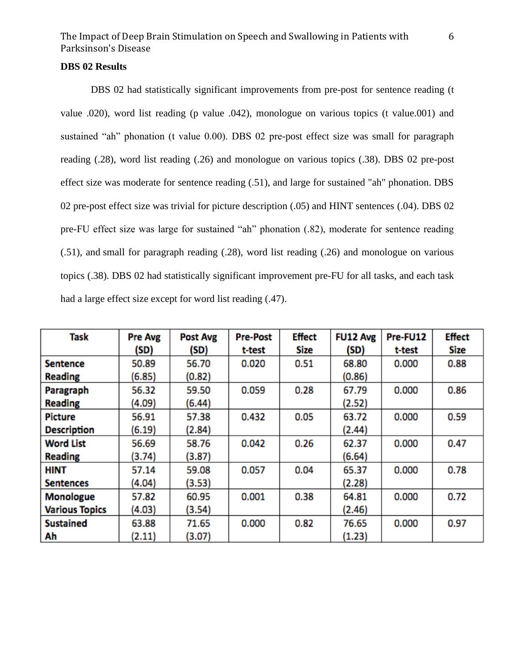## **DBS 02 Results**

DBS 02 had statistically significant improvements from pre-post for sentence reading (t value .020), word list reading (p value .042), monologue on various topics (t value.001) and sustained "ah" phonation (t value 0.00). DBS 02 pre-post effect size was small for paragraph reading (.28), word list reading (.26) and monologue on various topics (.38). DBS 02 pre-post effect size was moderate for sentence reading (.51), and large for sustained "ah" phonation. DBS 02 pre-post effect size was trivial for picture description (.05) and HINT sentences (.04). DBS 02 pre-FU effect size was large for sustained "ah" phonation (.82), moderate for sentence reading (.51), and small for paragraph reading (.28), word list reading (.26) and monologue on various topics (.38). DBS 02 had statistically significant improvement pre-FU for all tasks, and each task had a large effect size except for word list reading (.47).

| Task                  | <b>Pre Avg</b> | Post Avg | <b>Pre-Post</b> | <b>Effect</b> | <b>FU12 Avg</b> | Pre-FU12 | <b>Effect</b> |
|-----------------------|----------------|----------|-----------------|---------------|-----------------|----------|---------------|
|                       | (SD)           | (SD)     | t-test          | Size          | (SD)            | t-test   | Size          |
| <b>Sentence</b>       | 50.89          | 56.70    | 0.020           | 0.51          | 68.80           | 0.000    | 0.88          |
| <b>Reading</b>        | (6.85)         | (0.82)   |                 |               | (0.86)          |          |               |
| Paragraph             | 56.32          | 59.50    | 0.059           | 0.28          | 67.79           | 0.000    | 0.86          |
| <b>Reading</b>        | (4.09)         | (6.44)   |                 |               | (2.52)          |          |               |
| <b>Picture</b>        | 56.91          | 57.38    | 0.432           | 0.05          | 63.72           | 0.000    | 0.59          |
| <b>Description</b>    | (6.19)         | (2.84)   |                 |               | (2.44)          |          |               |
| <b>Word List</b>      | 56.69          | 58.76    | 0.042           | 0.26          | 62.37           | 0.000    | 0.47          |
| <b>Reading</b>        | (3.74)         | (3.87)   |                 |               | (6.64)          |          |               |
| <b>HINT</b>           | 57.14          | 59.08    | 0.057           | 0.04          | 65.37           | 0.000    | 0.78          |
| <b>Sentences</b>      | (4.04)         | (3.53)   |                 |               | (2.28)          |          |               |
| <b>Monologue</b>      | 57.82          | 60.95    | 0.001           | 0.38          | 64.81           | 0.000    | 0.72          |
| <b>Various Topics</b> | (4.03)         | (3.54)   |                 |               | (2.46)          |          |               |
| <b>Sustained</b>      | 63.88          | 71.65    | 0.000           | 0.82          | 76.65           | 0.000    | 0.97          |
| Ah                    | (2.11)         | (3.07)   |                 |               | (1.23)          |          |               |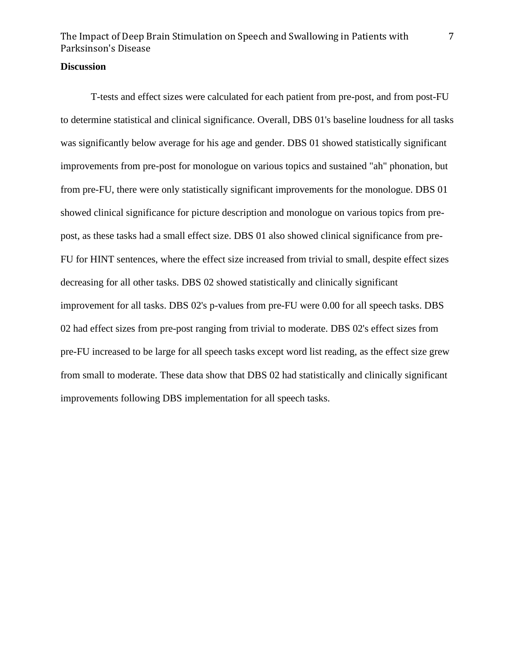## **Discussion**

T-tests and effect sizes were calculated for each patient from pre-post, and from post-FU to determine statistical and clinical significance. Overall, DBS 01's baseline loudness for all tasks was significantly below average for his age and gender. DBS 01 showed statistically significant improvements from pre-post for monologue on various topics and sustained "ah" phonation, but from pre-FU, there were only statistically significant improvements for the monologue. DBS 01 showed clinical significance for picture description and monologue on various topics from prepost, as these tasks had a small effect size. DBS 01 also showed clinical significance from pre-FU for HINT sentences, where the effect size increased from trivial to small, despite effect sizes decreasing for all other tasks. DBS 02 showed statistically and clinically significant improvement for all tasks. DBS 02's p-values from pre-FU were 0.00 for all speech tasks. DBS 02 had effect sizes from pre-post ranging from trivial to moderate. DBS 02's effect sizes from pre-FU increased to be large for all speech tasks except word list reading, as the effect size grew from small to moderate. These data show that DBS 02 had statistically and clinically significant improvements following DBS implementation for all speech tasks.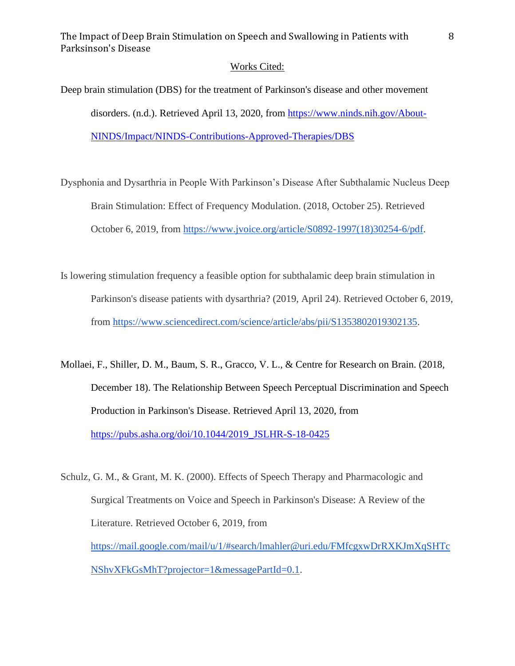#### Works Cited:

Deep brain stimulation (DBS) for the treatment of Parkinson's disease and other movement disorders. (n.d.). Retrieved April 13, 2020, from [https://www.ninds.nih.gov/About-](https://www.ninds.nih.gov/About-NINDS/Impact/NINDS-Contributions-Approved-Therapies/DBS)[NINDS/Impact/NINDS-Contributions-Approved-Therapies/DBS](https://www.ninds.nih.gov/About-NINDS/Impact/NINDS-Contributions-Approved-Therapies/DBS)

Dysphonia and Dysarthria in People With Parkinson's Disease After Subthalamic Nucleus Deep Brain Stimulation: Effect of Frequency Modulation. (2018, October 25). Retrieved October 6, 2019, from [https://www.jvoice.org/article/S0892-1997\(18\)30254-6/pdf.](https://www.jvoice.org/article/S0892-1997(18)30254-6/pdf)

Is lowering stimulation frequency a feasible option for subthalamic deep brain stimulation in Parkinson's disease patients with dysarthria? (2019, April 24). Retrieved October 6, 2019, from [https://www.sciencedirect.com/science/article/abs/pii/S1353802019302135.](https://www.sciencedirect.com/science/article/abs/pii/S1353802019302135)

Mollaei, F., Shiller, D. M., Baum, S. R., Gracco, V. L., & Centre for Research on Brain. (2018, December 18). The Relationship Between Speech Perceptual Discrimination and Speech Production in Parkinson's Disease. Retrieved April 13, 2020, from [https://pubs.asha.org/doi/10.1044/2019\\_JSLHR-S-18-0425](https://pubs.asha.org/doi/10.1044/2019_JSLHR-S-18-0425)

Schulz, G. M., & Grant, M. K. (2000). Effects of Speech Therapy and Pharmacologic and Surgical Treatments on Voice and Speech in Parkinson's Disease: A Review of the Literature. Retrieved October 6, 2019, from [https://mail.google.com/mail/u/1/#search/lmahler@uri.edu/FMfcgxwDrRXKJmXqSHTc](https://mail.google.com/mail/u/1/#search/lmahler@uri.edu/FMfcgxwDrRXKJmXqSHTcNShvXFkGsMhT?projector=1&messagePartId=0.1) [NShvXFkGsMhT?projector=1&messagePartId=0.1.](https://mail.google.com/mail/u/1/#search/lmahler@uri.edu/FMfcgxwDrRXKJmXqSHTcNShvXFkGsMhT?projector=1&messagePartId=0.1)